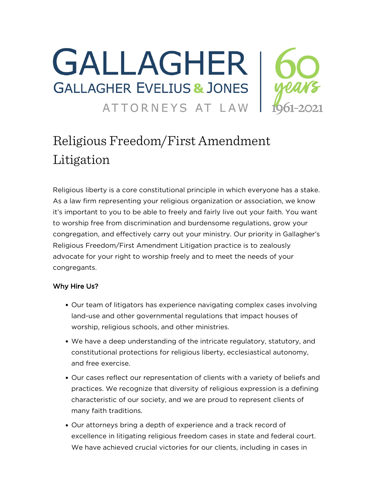

# Religious Freedom/First Amendment Litigation

Religious liberty is a core constitutional principle in which everyone has a stake. As a law firm representing your religious organization or association, we know it's important to you to be able to freely and fairly live out your faith. You want to worship free from discrimination and burdensome regulations, grow your congregation, and effectively carry out your ministry. Our priority in Gallagher's Religious Freedom/First Amendment Litigation practice is to zealously advocate for your right to worship freely and to meet the needs of your congregants.

### Why Hire Us?

- Our team of litigators has experience navigating complex cases involving land-use and other governmental regulations that impact houses of worship, religious schools, and other ministries.
- We have a deep understanding of the intricate regulatory, statutory, and constitutional protections for religious liberty, ecclesiastical autonomy, and free exercise.
- Our cases reflect our representation of clients with a variety of beliefs and practices. We recognize that diversity of religious expression is a defining characteristic of our society, and we are proud to represent clients of many faith traditions.
- Our attorneys bring a depth of experience and a track record of excellence in litigating religious freedom cases in state and federal court. We have achieved crucial victories for our clients, including in cases in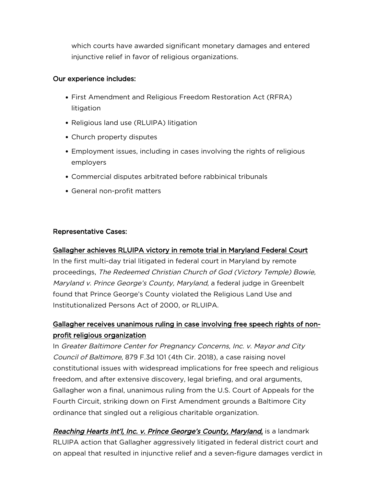which courts have awarded significant monetary damages and entered injunctive relief in favor of religious organizations.

#### Our experience includes:

- First Amendment and Religious Freedom Restoration Act (RFRA) litigation
- Religious land use (RLUIPA) litigation
- Church property disputes
- Employment issues, including in cases involving the rights of religious employers
- Commercial disputes arbitrated before rabbinical tribunals
- General non-profit matters

### Representative Cases:

### [Gallagher achieves RLUIPA victory in remote trial in Maryland Federal Court](https://www.gejlaw.com/gallagher-achieves-rluipa-victory-in-remote-trial-in-maryland-federal-court/)

In the first multi-day trial litigated in federal court in Maryland by remote proceedings, The Redeemed Christian Church of God (Victory Temple) Bowie, Maryland v. Prince George's County, Maryland, a federal judge in Greenbelt found that Prince George's County violated the Religious Land Use and Institutionalized Persons Act of 2000, or RLUIPA.

## [Gallagher receives unanimous ruling in case involving free speech rights of non](https://www.gejlaw.com/Case-Studies/Center-for-Pregnancy-Concerns)[profit religious organization](https://www.gejlaw.com/Case-Studies/Center-for-Pregnancy-Concerns)

In Greater Baltimore Center for Pregnancy Concerns, Inc. v. Mayor and City Council of Baltimore, 879 F.3d 101 (4th Cir. 2018), a case raising novel constitutional issues with widespread implications for free speech and religious freedom, and after extensive discovery, legal briefing, and oral arguments, Gallagher won a final, unanimous ruling from the U.S. Court of Appeals for the Fourth Circuit, striking down on First Amendment grounds a Baltimore City ordinance that singled out a religious charitable organization.

[Reaching Hearts Int'l, Inc. v. Prince George's County, Maryland](https://www.gejlaw.com/wp-content/uploads/2021/07/Reaching-Hearts.pdf)[,](https://www.gejlaw.com/wp-content/uploads/2021/07/Reaching-Hearts.pdf) is a landmark RLUIPA action that Gallagher aggressively litigated in federal district court and on appeal that resulted in injunctive relief and a seven-figure damages verdict in